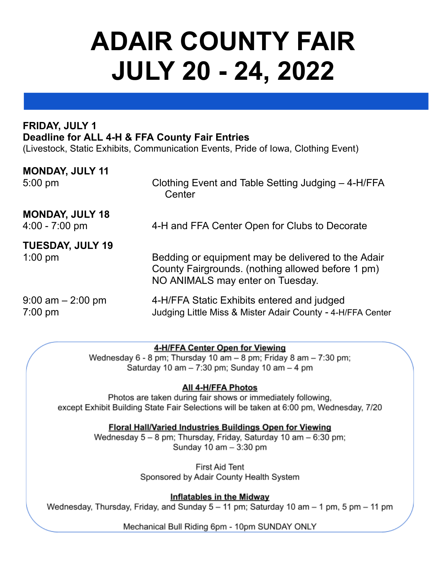# **ADAIR COUNTY FAIR JULY 20 - 24, 2022**

#### **FRIDAY, JULY 1 Deadline for ALL 4-H & FFA County Fair Entries**

(Livestock, Static Exhibits, Communication Events, Pride of Iowa, Clothing Event)

| <b>MONDAY, JULY 11</b>                     | Clothing Event and Table Setting Judging - 4-H/FFA                                                                                          |
|--------------------------------------------|---------------------------------------------------------------------------------------------------------------------------------------------|
| $5:00$ pm                                  | Center                                                                                                                                      |
| <b>MONDAY, JULY 18</b><br>$4:00 - 7:00$ pm | 4-H and FFA Center Open for Clubs to Decorate                                                                                               |
| <b>TUESDAY, JULY 19</b><br>$1:00$ pm       | Bedding or equipment may be delivered to the Adair<br>County Fairgrounds. (nothing allowed before 1 pm)<br>NO ANIMALS may enter on Tuesday. |
| $9:00$ am $-2:00$ pm                       | 4-H/FFA Static Exhibits entered and judged                                                                                                  |
| $7:00$ pm                                  | Judging Little Miss & Mister Adair County - 4-H/FFA Center                                                                                  |

#### 4-H/FFA Center Open for Viewing

Wednesday 6 - 8 pm; Thursday 10 am - 8 pm; Friday 8 am - 7:30 pm; Saturday 10 am  $-7:30$  pm; Sunday 10 am  $-4$  pm

#### All 4-H/FFA Photos

Photos are taken during fair shows or immediately following, except Exhibit Building State Fair Selections will be taken at 6:00 pm, Wednesday, 7/20

#### **Floral Hall/Varied Industries Buildings Open for Viewing**

Wednesday 5 - 8 pm; Thursday, Friday, Saturday 10 am - 6:30 pm; Sunday 10 am - 3:30 pm

> **First Aid Tent** Sponsored by Adair County Health System

**Inflatables in the Midway** Wednesday, Thursday, Friday, and Sunday 5 - 11 pm; Saturday 10 am - 1 pm, 5 pm - 11 pm

Mechanical Bull Riding 6pm - 10pm SUNDAY ONLY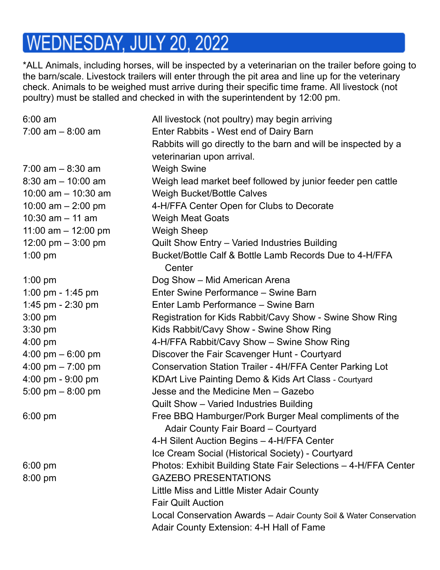### WEDNESDAY, JULY 20, 2022

\*ALL Animals, including horses, will be inspected by a veterinarian on the trailer before going to the barn/scale. Livestock trailers will enter through the pit area and line up for the veterinary check. Animals to be weighed must arrive during their specific time frame. All livestock (not poultry) must be stalled and checked in with the superintendent by 12:00 pm.

| $6:00 \text{ am}$     | All livestock (not poultry) may begin arriving                     |
|-----------------------|--------------------------------------------------------------------|
| $7:00$ am $-8:00$ am  | Enter Rabbits - West end of Dairy Barn                             |
|                       | Rabbits will go directly to the barn and will be inspected by a    |
|                       | veterinarian upon arrival.                                         |
| $7:00$ am $-8:30$ am  | <b>Weigh Swine</b>                                                 |
| $8:30$ am $-10:00$ am | Weigh lead market beef followed by junior feeder pen cattle        |
| 10:00 am $-$ 10:30 am | <b>Weigh Bucket/Bottle Calves</b>                                  |
| 10:00 am $-$ 2:00 pm  | 4-H/FFA Center Open for Clubs to Decorate                          |
| 10:30 $am - 11 am$    | <b>Weigh Meat Goats</b>                                            |
| 11:00 am $-$ 12:00 pm | <b>Weigh Sheep</b>                                                 |
| 12:00 pm $-$ 3:00 pm  | Quilt Show Entry - Varied Industries Building                      |
| $1:00$ pm             | Bucket/Bottle Calf & Bottle Lamb Records Due to 4-H/FFA<br>Center  |
| $1:00$ pm             | Dog Show - Mid American Arena                                      |
| 1:00 pm - 1:45 pm     | Enter Swine Performance – Swine Barn                               |
| 1:45 pm - 2:30 pm     | Enter Lamb Performance - Swine Barn                                |
| $3:00$ pm             | Registration for Kids Rabbit/Cavy Show - Swine Show Ring           |
| $3:30$ pm             | Kids Rabbit/Cavy Show - Swine Show Ring                            |
| $4:00 \text{ pm}$     | 4-H/FFA Rabbit/Cavy Show - Swine Show Ring                         |
| 4:00 pm $-6:00$ pm    | Discover the Fair Scavenger Hunt - Courtyard                       |
| 4:00 pm $- 7:00$ pm   | <b>Conservation Station Trailer - 4H/FFA Center Parking Lot</b>    |
| 4:00 pm - 9:00 pm     | KDArt Live Painting Demo & Kids Art Class - Courtyard              |
| 5:00 pm $-8:00$ pm    | Jesse and the Medicine Men - Gazebo                                |
|                       | Quilt Show - Varied Industries Building                            |
| $6:00 \text{ pm}$     | Free BBQ Hamburger/Pork Burger Meal compliments of the             |
|                       | Adair County Fair Board - Courtyard                                |
|                       | 4-H Silent Auction Begins - 4-H/FFA Center                         |
|                       | Ice Cream Social (Historical Society) - Courtyard                  |
| $6:00$ pm             | Photos: Exhibit Building State Fair Selections - 4-H/FFA Center    |
| $8:00$ pm             | <b>GAZEBO PRESENTATIONS</b>                                        |
|                       | Little Miss and Little Mister Adair County                         |
|                       | <b>Fair Quilt Auction</b>                                          |
|                       | Local Conservation Awards - Adair County Soil & Water Conservation |
|                       | Adair County Extension: 4-H Hall of Fame                           |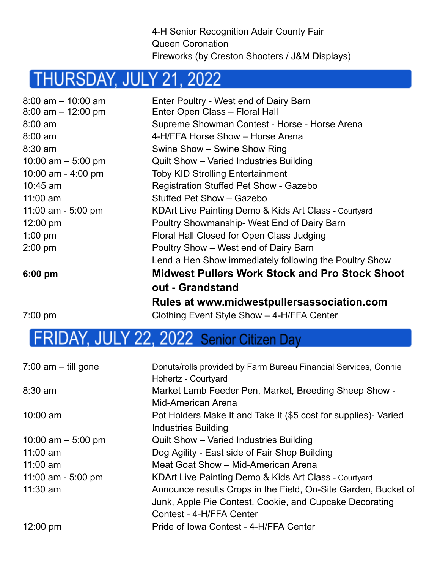4-H Senior Recognition Adair County Fair Queen Coronation Fireworks (by Creston Shooters / J&M Displays)

### THURSDAY, JULY 21, 2022

| $8:00$ am $-10:00$ am | Enter Poultry - West end of Dairy Barn                 |
|-----------------------|--------------------------------------------------------|
| $8:00$ am $-12:00$ pm | Enter Open Class - Floral Hall                         |
| $8:00$ am             | Supreme Showman Contest - Horse - Horse Arena          |
| $8:00$ am             | 4-H/FFA Horse Show - Horse Arena                       |
| $8:30$ am             | Swine Show - Swine Show Ring                           |
| 10:00 am $-$ 5:00 pm  | Quilt Show - Varied Industries Building                |
| 10:00 am - 4:00 pm    | <b>Toby KID Strolling Entertainment</b>                |
| $10:45$ am            | <b>Registration Stuffed Pet Show - Gazebo</b>          |
| $11:00$ am            | Stuffed Pet Show - Gazebo                              |
| 11:00 am - 5:00 pm    | KDArt Live Painting Demo & Kids Art Class - Courtyard  |
| $12:00 \text{ pm}$    | Poultry Showmanship- West End of Dairy Barn            |
| $1:00$ pm             | Floral Hall Closed for Open Class Judging              |
| $2:00$ pm             | Poultry Show – West end of Dairy Barn                  |
|                       | Lend a Hen Show immediately following the Poultry Show |
| $6:00$ pm             | Midwest Pullers Work Stock and Pro Stock Shoot         |
|                       | out - Grandstand                                       |
|                       | Rules at www.midwestpullersassociation.com             |
| $7:00 \text{ pm}$     | Clothing Event Style Show - 4-H/FFA Center             |
|                       |                                                        |

### FRIDAY, JULY 22, 2022 Senior Citizen Day

| $7:00$ am $-$ till gone | Donuts/rolls provided by Farm Bureau Financial Services, Connie |
|-------------------------|-----------------------------------------------------------------|
|                         | Hohertz - Courtyard                                             |
| $8:30$ am               | Market Lamb Feeder Pen, Market, Breeding Sheep Show -           |
|                         | Mid-American Arena                                              |
| $10:00$ am              | Pot Holders Make It and Take It (\$5 cost for supplies)- Varied |
|                         | <b>Industries Building</b>                                      |
| 10:00 am $-$ 5:00 pm    | Quilt Show - Varied Industries Building                         |
| $11:00$ am              | Dog Agility - East side of Fair Shop Building                   |
| $11:00$ am              | Meat Goat Show - Mid-American Arena                             |
| 11:00 am - $5:00$ pm    | KDArt Live Painting Demo & Kids Art Class - Courtyard           |
| $11:30$ am              | Announce results Crops in the Field, On-Site Garden, Bucket of  |
|                         | Junk, Apple Pie Contest, Cookie, and Cupcake Decorating         |
|                         | Contest - 4-H/FFA Center                                        |
| $12:00 \text{ pm}$      | Pride of Iowa Contest - 4-H/FFA Center                          |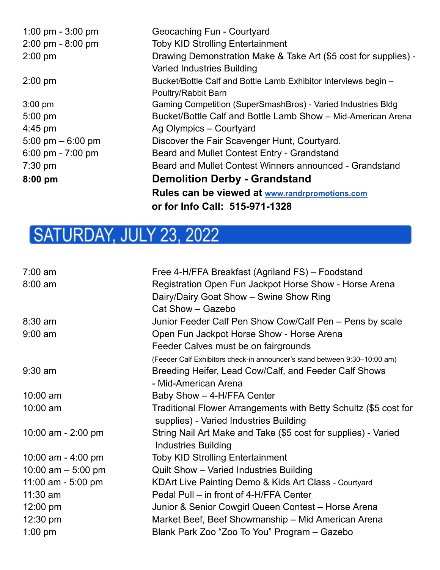| 1:00 pm $-3:00$ pm                  | Geocaching Fun - Courtyard                                      |
|-------------------------------------|-----------------------------------------------------------------|
| $2:00 \text{ pm} - 8:00 \text{ pm}$ | <b>Toby KID Strolling Entertainment</b>                         |
| $2:00$ pm                           | Drawing Demonstration Make & Take Art (\$5 cost for supplies) - |
|                                     | <b>Varied Industries Building</b>                               |
| $2:00$ pm                           | Bucket/Bottle Calf and Bottle Lamb Exhibitor Interviews begin - |
|                                     | Poultry/Rabbit Barn                                             |
| $3:00$ pm                           | Gaming Competition (SuperSmashBros) - Varied Industries Bldg    |
| $5:00$ pm                           | Bucket/Bottle Calf and Bottle Lamb Show - Mid-American Arena    |
| $4:45$ pm                           | Ag Olympics - Courtyard                                         |
| 5:00 pm $-$ 6:00 pm                 | Discover the Fair Scavenger Hunt, Courtyard.                    |
| 6:00 pm - $7:00$ pm                 | Beard and Mullet Contest Entry - Grandstand                     |
| $7:30 \text{ pm}$                   | Beard and Mullet Contest Winners announced - Grandstand         |
| $8:00$ pm                           | <b>Demolition Derby - Grandstand</b>                            |
|                                     | Rules can be viewed at www.randrpromotions.com                  |
|                                     | or for Info Call: 515-971-1328                                  |

### SATURDAY, JULY 23, 2022

| $7:00$ am                    | Free 4-H/FFA Breakfast (Agriland FS) - Foodstand                          |
|------------------------------|---------------------------------------------------------------------------|
| $8:00$ am                    | Registration Open Fun Jackpot Horse Show - Horse Arena                    |
|                              | Dairy/Dairy Goat Show - Swine Show Ring                                   |
|                              | Cat Show - Gazebo                                                         |
| $8:30$ am                    | Junior Feeder Calf Pen Show Cow/Calf Pen – Pens by scale                  |
| $9:00$ am                    | Open Fun Jackpot Horse Show - Horse Arena                                 |
|                              | Feeder Calves must be on fairgrounds                                      |
|                              | (Feeder Calf Exhibitors check-in announcer's stand between 9:30-10:00 am) |
| $9:30$ am                    | Breeding Heifer, Lead Cow/Calf, and Feeder Calf Shows                     |
|                              | - Mid-American Arena                                                      |
| $10:00$ am                   | Baby Show - 4-H/FFA Center                                                |
| 10:00 am                     | Traditional Flower Arrangements with Betty Schultz (\$5 cost for          |
|                              | supplies) - Varied Industries Building                                    |
| 10:00 am - 2:00 pm           | String Nail Art Make and Take (\$5 cost for supplies) - Varied            |
|                              | <b>Industries Building</b>                                                |
| 10:00 am - $4:00 \text{ pm}$ | <b>Toby KID Strolling Entertainment</b>                                   |
| 10:00 am $-$ 5:00 pm         | Quilt Show - Varied Industries Building                                   |
| 11:00 am - 5:00 pm           | KDArt Live Painting Demo & Kids Art Class - Courtyard                     |
| $11:30$ am                   | Pedal Pull – in front of 4-H/FFA Center                                   |
| 12:00 pm                     | Junior & Senior Cowgirl Queen Contest - Horse Arena                       |
| $12:30 \text{ pm}$           | Market Beef, Beef Showmanship – Mid American Arena                        |
| $1:00$ pm                    | Blank Park Zoo "Zoo To You" Program - Gazebo                              |
|                              |                                                                           |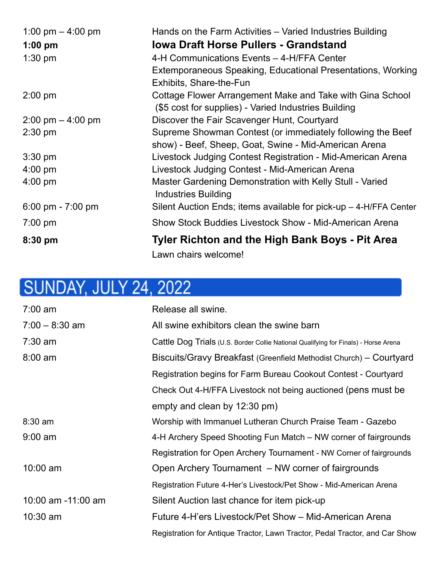| 1:00 pm $-$ 4:00 pm                 | Hands on the Farm Activities - Varied Industries Building         |
|-------------------------------------|-------------------------------------------------------------------|
| $1:00$ pm                           | <b>Iowa Draft Horse Pullers - Grandstand</b>                      |
| $1:30$ pm                           | 4-H Communications Events - 4-H/FFA Center                        |
|                                     | Extemporaneous Speaking, Educational Presentations, Working       |
|                                     | <b>Exhibits, Share-the-Fun</b>                                    |
| $2:00$ pm                           | Cottage Flower Arrangement Make and Take with Gina School         |
|                                     | (\$5 cost for supplies) - Varied Industries Building              |
| $2:00 \text{ pm} - 4:00 \text{ pm}$ | Discover the Fair Scavenger Hunt, Courtyard                       |
| $2:30$ pm                           | Supreme Showman Contest (or immediately following the Beef        |
|                                     | show) - Beef, Sheep, Goat, Swine - Mid-American Arena             |
| $3:30$ pm                           | Livestock Judging Contest Registration - Mid-American Arena       |
| $4:00 \text{ pm}$                   | Livestock Judging Contest - Mid-American Arena                    |
| $4:00 \text{ pm}$                   | Master Gardening Demonstration with Kelly Stull - Varied          |
|                                     | <b>Industries Building</b>                                        |
| 6:00 pm - 7:00 pm                   | Silent Auction Ends; items available for pick-up – 4-H/FFA Center |
| $7:00 \text{ pm}$                   | Show Stock Buddies Livestock Show - Mid-American Arena            |
| $8:30$ pm                           | <b>Tyler Richton and the High Bank Boys - Pit Area</b>            |
|                                     | Lawn chairs welcome!                                              |

## **SUNDAY, JULY 24, 2022**

| $7:00$ am          | Release all swine.                                                                  |
|--------------------|-------------------------------------------------------------------------------------|
| $7:00 - 8:30$ am   | All swine exhibitors clean the swine barn                                           |
| $7:30$ am          | Cattle Dog Trials (U.S. Border Collie National Qualifying for Finals) - Horse Arena |
| $8:00$ am          | Biscuits/Gravy Breakfast (Greenfield Methodist Church) - Courtyard                  |
|                    | Registration begins for Farm Bureau Cookout Contest - Courtyard                     |
|                    | Check Out 4-H/FFA Livestock not being auctioned (pens must be                       |
|                    | empty and clean by 12:30 pm)                                                        |
| $8:30$ am          | Worship with Immanuel Lutheran Church Praise Team - Gazebo                          |
| $9:00$ am          | 4-H Archery Speed Shooting Fun Match – NW corner of fairgrounds                     |
|                    | Registration for Open Archery Tournament - NW Corner of fairgrounds                 |
| $10:00$ am         | Open Archery Tournament – NW corner of fairgrounds                                  |
|                    | Registration Future 4-Her's Livestock/Pet Show - Mid-American Arena                 |
| 10:00 am -11:00 am | Silent Auction last chance for item pick-up                                         |
| $10:30$ am         | Future 4-H'ers Livestock/Pet Show - Mid-American Arena                              |
|                    | Registration for Antique Tractor, Lawn Tractor, Pedal Tractor, and Car Show         |